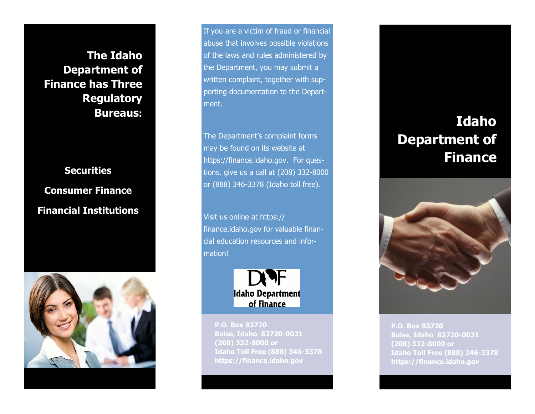**The Idaho Department of Finance has Three Regulatory Bureaus:**

# **Securities Consumer Finance Financial Institutions**



If you are a victim of fraud or financial abuse that involves possible violations of the laws and rules administered by the Department, you may submit a written complaint, together with supporting documentation to the Department.

The Department's complaint forms may be found on its website at https://finance.idaho.gov. For questions, give us a call at (208) 332-8000 or (888) 346-3378 (Idaho toll free).

Visit us online at https:// finance.idaho.gov for valuable financial education resources and information!



**P.O. Box 83720 Boise, Idaho 83720-0031 (208) 332-8000 or Idaho Toll Free (888) 346-3378 https://finance.idaho.gov**

## **Idaho Department of Finance**



**P.O. Box 83720 Boise, Idaho 83720-0031 (208) 332-8000 or Idaho Toll Free (888) 346-3378 https://finance.idaho.gov**